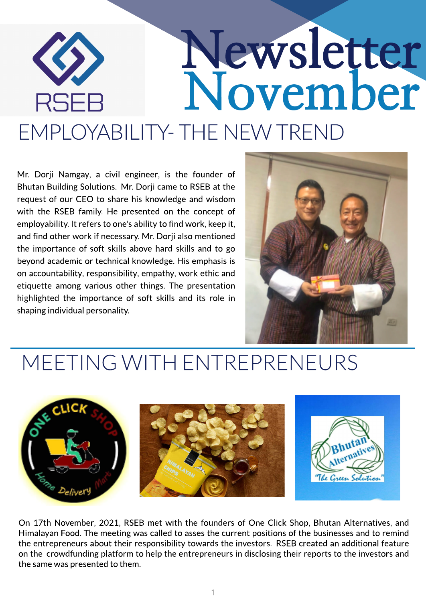# Newsletter November **RSEI** EMPLOYABILITY- THE NEW TREND

Mr. Dorji Namgay, a civil engineer, is the founder of Bhutan Building Solutions. Mr. Dorji came to RSEB at the request of our CEO to share his knowledge and wisdom with the RSEB family. He presented on the concept of employability. It refers to one's ability to find work, keep it, and find other work if necessary. Mr. Dorji also mentioned the importance of soft skills above hard skills and to go beyond academic or technical knowledge. His emphasis is on accountability, responsibility, empathy, work ethic and etiquette among various other things. The presentation highlighted the importance of soft skills and its role in shaping individual personality.



#### MEETING WITH ENTREPRENEURS



On 17th November, 2021, RSEB met with the founders of One Click Shop, Bhutan Alternatives, and Himalayan Food. The meeting was called to asses the current positions of the businesses and to remind the entrepreneurs about their responsibility towards the investors. RSEB created an additional feature on the crowdfunding platform to help the entrepreneurs in disclosing their reports to the investors and the same was presented to them.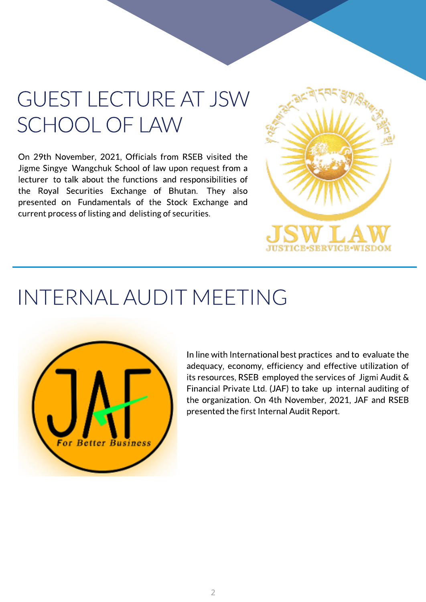## GUEST LECTUREAT JSW SCHOOLOF LAW

On 29th November, 2021, Officials from RSEB visited the Jigme Singye Wangchuk School of law upon request from a lecturer to talk about the functions and responsibilities of the Royal Securities Exchange of Bhutan. They also presented on Fundamentals of the Stock Exchange and current processof listing and delisting of securities.



#### INTERNALAUDIT MEETING



In line with International best practices and to evaluate the adequacy, economy, efficiency and effective utilization of its resources, RSEB employed the services of Jigmi Audit & Financial Private Ltd. (JAF) to take up internal auditing of the organization. On 4th November, 2021, JAF and RSEB presented the first Internal Audit Report.